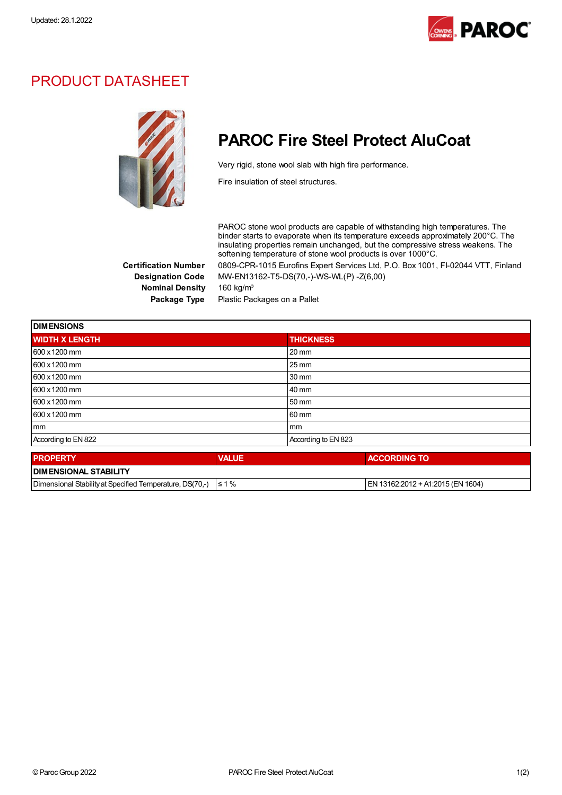

### PRODUCT DATASHEET



## PAROC Fire Steel Protect AluCoat

Very rigid, stone wool slab with high fire performance.

Fire insulation of steel structures.

PAROC stone wool products are capable of withstanding high temperatures. The binder starts to evaporate when its temperature exceeds approximately 200°C. The insulating properties remain unchanged, but the compressive stress weakens. The softening temperature of stone wool products is over 1000°C.

Certification Number 0809-CPR-1015 Eurofins Expert Services Ltd, P.O. Box 1001, FI-02044 VTT, Finland Designation Code MW-EN13162-T5-DS(70,-)-WS-WL(P) -Z(6,00) Nominal Density 160 kg/m<sup>3</sup>

Package Type Plastic Packages on a Pallet

| <b>DIMENSIONS</b>     |              |                     |  |
|-----------------------|--------------|---------------------|--|
| <b>WIDTH X LENGTH</b> |              | <b>THICKNESS</b>    |  |
| 600 x 1200 mm         |              | $20 \text{ mm}$     |  |
| 600 x 1200 mm         |              | $25 \,\mathrm{mm}$  |  |
| 600 x 1200 mm         |              | 30 mm               |  |
| 600 x 1200 mm         |              | 40 mm               |  |
| 600 x 1200 mm         |              | 50 mm               |  |
| 600 x 1200 mm         |              | 60 mm               |  |
| mm                    |              | mm                  |  |
| According to EN 822   |              | According to EN 823 |  |
| <b>PROPERTY</b>       | <b>VALUE</b> | <b>ACCORDING TO</b> |  |
|                       |              |                     |  |

| <b>I DIMENSIONAL STABILITY</b>                           |              |                                     |  |  |  |
|----------------------------------------------------------|--------------|-------------------------------------|--|--|--|
| Dimensional Stability at Specified Temperature, DS(70.-) | $^{\circ}$ % | I EN 13162:2012 + A1:2015 (EN 1604) |  |  |  |